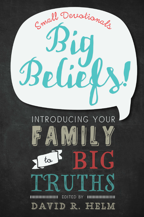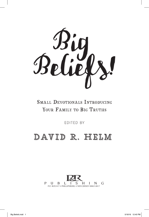

## SMALL DEVOTIONALS INTRODUCING YOUR FAMILY TO BIG TRUTHS

Edited By

## David R. Helm

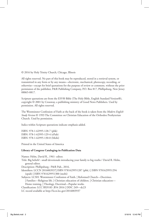© 2016 by Holy Trinity Church, Chicago, Illinois

All rights reserved. No part of this book may be reproduced, stored in a retrieval system, or transmitted in any form or by any means—electronic, mechanical, photocopy, recording, or otherwise—except for brief quotations for the purpose of review or comment, without the prior permission of the publisher, P&R Publishing Company, P.O. Box 817, Phillipsburg, New Jersey 08865-0817.

Scripture quotations are from the ESV® Bible (The Holy Bible, English Standard Version®), copyright © 2001 by Crossway, a publishing ministry of Good News Publishers. Used by permission. All rights reserved.

The Westminster Confession of Faith at the back of the book is taken from the *Modern English Study Version* © 1993 The Committee on Christian Education of the Orthodox Presbyterian Church. Used by permission.

Italics within Scripture quotations indicate emphasis added.

ISBN: 978-1-62995-128-7 (pbk) ISBN: 978-1-62995-129-4 (ePub) ISBN: 978-1-62995-130-0 (Mobi)

Printed in the United States of America

#### **Library of Congress Cataloging-in-Publication Data**

Names: Helm, David R., 1961- editor. Title: Big beliefs! : small devotionals introducing your family to big truths / David R. Helm, general editor. Description: Phillipsburg : P&R Pub., 2016. Identifiers: LCCN 2016003937| ISBN 9781629951287 (pbk.) | ISBN 9781629951294 (epub) | ISBN 9781629951300 (mobi) Subjects: LCSH: Westminster Confession of Faith. | Reformed Church—Doctrines. | Families—Religious life. | Christian education of children. | Christian education— Home training. | Theology, Doctrinal—Popular works. Classification: LCC BX9183 .B54 2016 | DDC 249—dc23 LC record available at http://lccn.loc.gov/2016003937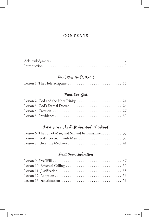## CONTENTS

## Part One: God's Word

|--|--|--|

### Part Two: God

## Part Three: The Fall, Sin, and Mankind

| Lesson 6: The Fall of Man, and Sin and Its Punishment $\dots \dots$ 35 |  |
|------------------------------------------------------------------------|--|
|                                                                        |  |
|                                                                        |  |

## Part Four: Salvation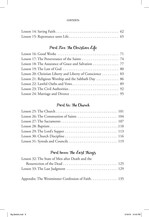#### **CONTENTS**

## Part Five: The Christian Life

| Lesson 18: The Assurance of Grace and Salvation 77        |  |
|-----------------------------------------------------------|--|
|                                                           |  |
| Lesson 20: Christian Liberty and Liberty of Conscience 83 |  |
| Lesson 21: Religious Worship and the Sabbath Day  86      |  |
|                                                           |  |
|                                                           |  |
|                                                           |  |

## Part Six: The Church

| Lesson 26: The Communion of Saints  104 |  |
|-----------------------------------------|--|
|                                         |  |
|                                         |  |
|                                         |  |
|                                         |  |
|                                         |  |

## Part Seven: The Last Things

| Lesson 32: The State of Men after Death and the   |  |
|---------------------------------------------------|--|
|                                                   |  |
|                                                   |  |
| Appendix: The Westminster Confession of Faith 135 |  |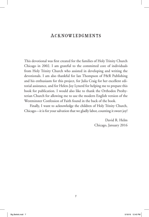## **ACKNOWLEDGMENTS**

This devotional was first created for the families of Holy Trinity Church Chicago in 2002. I am grateful to the committed core of individuals from Holy Trinity Church who assisted in developing and writing the devotionals. I am also thankful for Ian Thompson of P&R Publishing and his enthusiasm for this project, for Julia Craig for her excellent editorial assistance, and for Helen-Joy Lynerd for helping me to prepare this book for publication. I would also like to thank the Orthodox Presbyterian Church for allowing me to use the modern English version of the Westminster Confession of Faith found in the back of the book.

Finally, I want to acknowledge the children of Holy Trinity Church, Chicago—it is for your salvation that we gladly labor, counting it sweet joy!

> David R. Helm Chicago, January 2016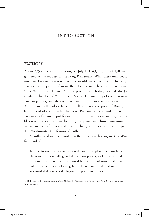## Introduction

#### YESTERDAY

About 375 years ago in London, on July 1, 1643, a group of 150 men gathered at the request of the Long Parliament. What these men could not have known then was that they would meet together for five days a week over a period of more than four years. They owe their name, "The Westminster Divines," to the place in which they labored: the Jerusalem Chamber of Westminster Abbey. The majority of the men were Puritan pastors, and they gathered in an effort to stave off a civil war. King Henry VII had declared himself, and not the pope of Rome, to be the head of the church. Therefore, Parliament commanded that this "assembly of divines" put forward, to their best understanding, the Bible's teaching on Christian doctrine, discipline, and church government. What emerged after years of study, debate, and discourse was, in part, The Westminster Confession of Faith.

So influential was their work that the Princeton theologian B. B. Warfield said of it,

In these forms of words we possess the most complete, the most fully elaborated and carefully guarded, the most perfect, and the most vital expression that has ever been framed by the hand of man, of all that enters into what we call evangelical religion, and of all that must be safeguarded if evangelical religion is to persist in the world.<sup>1</sup>

<sup>1.</sup> B. B. Warfield, *The Significance of the Westminster Standards as a Creed* (New York: Charles Scribner's Sons, 1898), 2.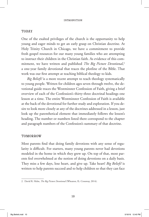#### **INTRODUCTION**

#### **TODAY**

One of the exalted privileges of the church is the opportunity to help young and eager minds to get an early grasp on Christian doctrine. At Holy Trinity Church in Chicago, we have a commitment to provide fresh gospel resources for our many young families who are attempting to instruct their children in the Christian faith. As evidence of this commitment, we have written and published *The Big Picture Devotional*, 2 a one-year family devotional that traces the plotline of the Bible. That work was our first attempt at teaching biblical theology to kids.

*Big Beliefs!* is a more recent attempt to teach theology systematically to young people. Written for children ages seven through twelve, the devotional guide traces the Westminster Confession of Faith, giving a brief overview of each of the Confession's thirty-three doctrinal headings one lesson at a time. The entire Westminster Confession of Faith is available at the back of the devotional for further study and exploration. If you desire to look more closely at any of the doctrines addressed in a lesson, just look up the parenthetical element that immediately follows the lesson's heading. The number or numbers listed there correspond to the chapter and paragraph numbers of the Confession's summary of that doctrine.

#### **TOMORROW**

Most parents find that doing family devotions with any sense of regularity is difficult. For starters, many young parents never had devotions modeled in the home in which they grew up. On top of that, most parents feel overwhelmed at the notion of doing devotions on a daily basis. They miss a few days, lose heart, and give up. Take heart! *Big Beliefs!* is written to help parents succeed and to help children so that they can face

<sup>2.</sup> David R. Helm, *The Big Picture Devotional* (Wheaton, IL: Crossway, 2014).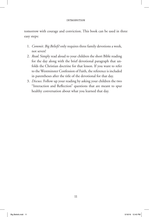#### **INTRODUCTION**

tomorrow with courage and conviction. This book can be used in three easy steps:

- 1. *Commit*. *Big Beliefs!* only requires three family devotions a week, not seven!
- 2. *Read*. Simply read aloud to your children the short Bible reading for the day along with the brief devotional paragraph that unfolds the Christian doctrine for that lesson. If you want to refer to the Westminster Confession of Faith, the reference is included in parentheses after the title of the devotional for that day.
- 3. *Discuss*. Follow up your reading by asking your children the two "Interaction and Reflection" questions that are meant to spur healthy conversation about what you learned that day.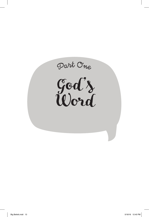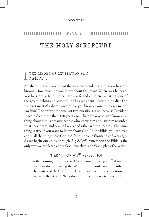## Lesson 1 ,,,,,,,,,, ,,,,,,,,, THE HOLY SCRIPTURE

### THE RECORD OF REVELATION (1.1) *1 John 1:1–4*

Abraham Lincoln was one of the greatest presidents our nation has ever known. How much do you know about this man? Where was he born? Was he short or tall? Did he have a wife and children? What was one of the greatest things he accomplished as president? How did he die? Did you ever meet Abraham Lincoln? Do you know anyone who ever met or saw him? The answer to these last two questions is no, because President Lincoln died more than 150 years ago. The only way we can know anything about him is because people who knew him and saw him recorded what they heard and saw in books and other written records. The same thing is true if you want to know about God. In the Bible, you can read about all the things that God did for his people thousands of years ago. As we begin our study through *Big Beliefs!*, remember: the Bible is the only way we can learn about God, ourselves, and God's plan of salvation.

INTERACTION SANDER REFLECTION

• In the coming lessons we will be learning exciting stuff about Christian doctrine using the Westminster Confession of Faith. The writers of the Confession began by answering the question "What is the Bible?" Why do you think they started with the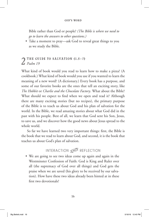#### God's Word

Bible rather than God or people? *(The Bible is where we need to go to learn the answers to other questions.)*

• Take a moment to pray—ask God to reveal great things to you as we study the Bible.

# **2** THE GUIDE TO SALVATION  $(1.5-7)$ <br>What kind of book would you read to learn *Psalm 19*

What kind of book would you read to learn how to make a pizza? (A cookbook.) What kind of book would you use if you wanted to learn the meaning of a new word? (A dictionary.) Every book has a purpose, and some of our favorite books are the ones that tell an exciting story, like *The Hobbit* or *Charlie and the Chocolate Factory*. What about the Bible? What should we expect to find when we open and read it? Although there are many exciting stories (but no recipes), the primary purpose of the Bible is to teach us about God and his plan of salvation for the world. In the Bible, we read amazing stories about what God did in the past with his people. Best of all, we learn that God sent his Son, Jesus, to save us, and we discover how the good news about Jesus spread to the whole world.

So far we have learned two very important things: first, the Bible is the book that we read to learn about God, and second, it is the book that teaches us about God's plan of salvation.

## INTERACTION SANDER REFLECTION

• We are going to see two ideas come up again and again in the Westminster Confession of Faith: God is King and Ruler over all (the supremacy of God over all things) and God gets the praise when we are saved (his glory to be received by our salvation). How have these two ideas already been hinted at in these first two devotionals?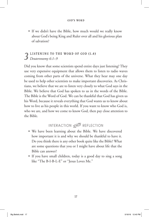• If we didn't have the Bible, how much would we really know about God's being King and Ruler over all and his glorious plan of salvation?

## LISTENING TO THE WORD OF GOD (1.4) *Deuteronomy 6:1–9*

Did you know that some scientists spend entire days just listening? They use very expensive equipment that allows them to listen to radio waves coming from other parts of the universe. What they hear may one day be used to help other scientists to make important discoveries. As Christians, we believe that we are to listen very closely to what God says in the Bible. We believe that God has spoken to us in the words of the Bible. The Bible is the Word of God. We can be thankful that God has given us his Word, because it reveals everything that God wants us to know about how to live as his people in this world. If you want to know who God is, who we are, and how we come to know God, then pay close attention to the Bible.

## INTERACTION SANDER REFLECTION

- We have been learning about the Bible. We have discovered how important it is and why we should be thankful to have it. Do you think there is any other book quite like the Bible? What are some questions that you or I might have about life that the Bible can answer?
- If you have small children, today is a good day to sing a song like "The B-I-B-L-E" or "Jesus Loves Me."